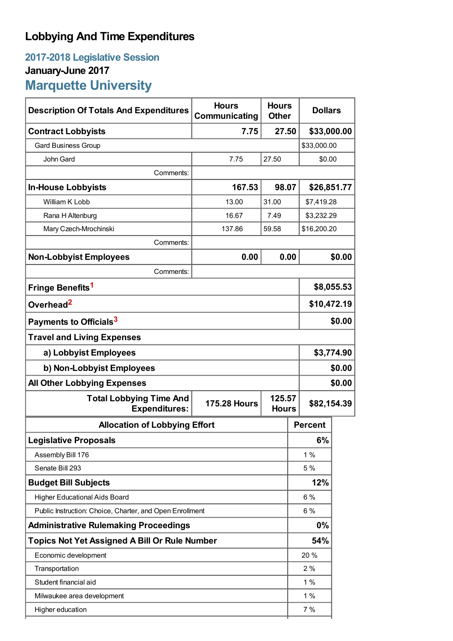## **Lobbying And Time Expenditures**

## **2017-2018 Legislative Session January-June 2017 Marquette University**

| <b>Description Of Totals And Expenditures</b>            | <b>Hours</b><br>Communicating | <b>Hours</b><br><b>Other</b> | <b>Dollars</b> |            |  |
|----------------------------------------------------------|-------------------------------|------------------------------|----------------|------------|--|
| <b>Contract Lobbyists</b>                                | 7.75                          | 27.50                        | \$33,000.00    |            |  |
| <b>Gard Business Group</b>                               |                               |                              | \$33,000.00    |            |  |
| John Gard                                                | 7.75                          | 27.50                        | \$0.00         |            |  |
| Comments:                                                |                               |                              |                |            |  |
| <b>In-House Lobbyists</b>                                | 167.53                        | 98.07                        | \$26,851.77    |            |  |
| William K Lobb                                           | 13.00                         | 31.00                        | \$7,419.28     |            |  |
| Rana H Altenburg                                         | 16.67                         | 7.49                         | \$3,232.29     |            |  |
| Mary Czech-Mrochinski                                    | 137.86                        | 59.58                        | \$16,200.20    |            |  |
| Comments:                                                |                               |                              |                |            |  |
| <b>Non-Lobbyist Employees</b>                            | 0.00                          | 0.00                         |                | \$0.00     |  |
| Comments:                                                |                               |                              |                |            |  |
| Fringe Benefits <sup>1</sup>                             |                               |                              | \$8,055.53     |            |  |
| Overhead <sup>2</sup>                                    |                               |                              | \$10,472.19    |            |  |
| Payments to Officials <sup>3</sup>                       |                               |                              | \$0.00         |            |  |
| <b>Travel and Living Expenses</b>                        |                               |                              |                |            |  |
| a) Lobbyist Employees                                    |                               |                              |                | \$3,774.90 |  |
| b) Non-Lobbyist Employees                                |                               |                              | \$0.00         |            |  |
| <b>All Other Lobbying Expenses</b>                       |                               |                              | \$0.00         |            |  |
| <b>Total Lobbying Time And</b><br><b>Expenditures:</b>   | <b>175.28 Hours</b>           | 125.57<br><b>Hours</b>       | \$82,154.39    |            |  |
| <b>Allocation of Lobbying Effort</b>                     |                               |                              | <b>Percent</b> |            |  |
| <b>Legislative Proposals</b>                             |                               |                              | 6%             |            |  |
| Assembly Bill 176                                        |                               |                              | 1%             |            |  |
| Senate Bill 293                                          |                               |                              | 5 %            |            |  |
| <b>Budget Bill Subjects</b>                              |                               |                              | 12%            |            |  |
| <b>Higher Educational Aids Board</b>                     |                               |                              | 6 %            |            |  |
| Public Instruction: Choice, Charter, and Open Enrollment |                               |                              | 6%             |            |  |
| <b>Administrative Rulemaking Proceedings</b>             |                               |                              | 0%             |            |  |
| <b>Topics Not Yet Assigned A Bill Or Rule Number</b>     |                               |                              | 54%            |            |  |
| Economic development                                     |                               |                              | 20%            |            |  |
| Transportation                                           |                               |                              | 2%             |            |  |
| Student financial aid                                    |                               |                              | 1%             |            |  |
| Milwaukee area development                               |                               |                              | 1%             |            |  |
| Higher education                                         |                               |                              | 7%             |            |  |